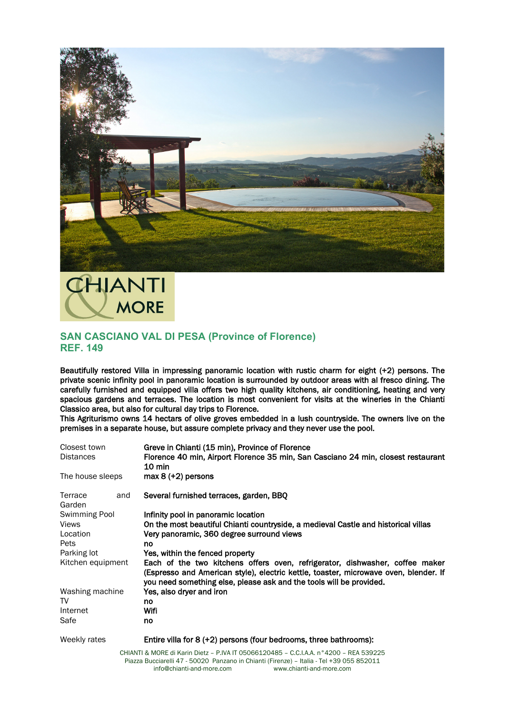



## **SAN CASCIANO VAL DI PESA (Province of Florence) REF. 149**

Beautifully restored Villa in impressing panoramic location with rustic charm for eight (+2) persons. The private scenic infinity pool in panoramic location is surrounded by outdoor areas with al fresco dining. The carefully furnished and equipped villa offers two high quality kitchens, air conditioning, heating and very spacious gardens and terraces. The location is most convenient for visits at the wineries in the Chianti Classico area, but also for cultural day trips to Florence.

This Agriturismo owns 14 hectars of olive groves embedded in a lush countryside. The owners live on the premises in a separate house, but assure complete privacy and they never use the pool.

| Closest town<br><b>Distances</b><br>The house sleeps |  | Greve in Chianti (15 min), Province of Florence<br>Florence 40 min, Airport Florence 35 min, San Casciano 24 min, closest restaurant<br>$10 \text{ min}$<br>$max 8 (+2)$ persons                                                            |
|------------------------------------------------------|--|---------------------------------------------------------------------------------------------------------------------------------------------------------------------------------------------------------------------------------------------|
|                                                      |  |                                                                                                                                                                                                                                             |
| Swimming Pool                                        |  | Infinity pool in panoramic location                                                                                                                                                                                                         |
| <b>Views</b>                                         |  | On the most beautiful Chianti countryside, a medieval Castle and historical villas                                                                                                                                                          |
| Location                                             |  | Very panoramic, 360 degree surround views                                                                                                                                                                                                   |
| Pets                                                 |  | no                                                                                                                                                                                                                                          |
| Parking lot                                          |  | Yes, within the fenced property                                                                                                                                                                                                             |
| Kitchen equipment                                    |  | Each of the two kitchens offers oven, refrigerator, dishwasher, coffee maker<br>(Espresso and American style), electric kettle, toaster, microwave oven, blender. If<br>you need something else, please ask and the tools will be provided. |
| Washing machine                                      |  | Yes, also dryer and iron                                                                                                                                                                                                                    |
| TV                                                   |  | no                                                                                                                                                                                                                                          |
| Internet                                             |  | Wifi                                                                                                                                                                                                                                        |
| Safe                                                 |  | no                                                                                                                                                                                                                                          |
| Weekly rates                                         |  | Entire villa for 8 (+2) persons (four bedrooms, three bathrooms):                                                                                                                                                                           |
|                                                      |  |                                                                                                                                                                                                                                             |

CHIANTI & MORE di Karin Dietz – P.IVA IT 05066120485 – C.C.I.A.A. n°4200 – REA 539225 Piazza Bucciarelli 47 - 50020 Panzano in Chianti (Firenze) – Italia - Tel +39 055 852011 info@chianti-and-more.com